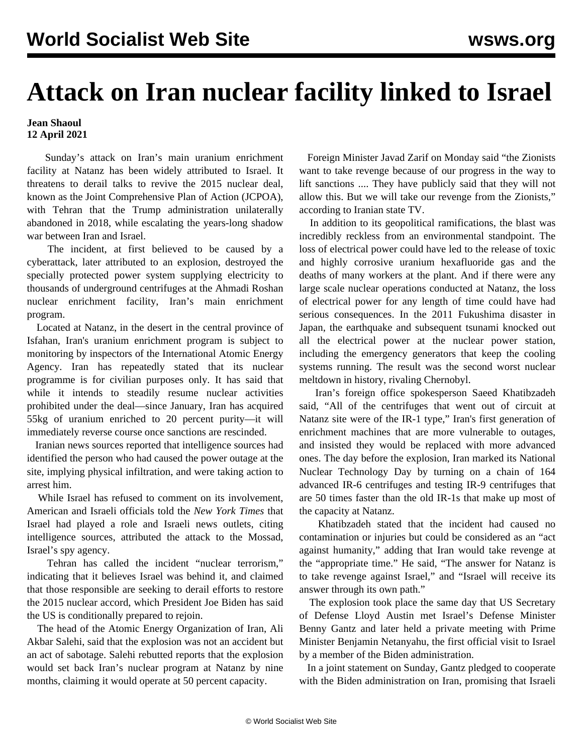## **Attack on Iran nuclear facility linked to Israel**

## **Jean Shaoul 12 April 2021**

 Sunday's attack on Iran's main uranium enrichment facility at Natanz has been widely attributed to Israel. It threatens to derail talks to revive the 2015 nuclear deal, known as the Joint Comprehensive Plan of Action (JCPOA), with Tehran that the Trump administration unilaterally abandoned in 2018, while escalating the years-long shadow war between Iran and Israel.

 The incident, at first believed to be caused by a cyberattack, later attributed to an explosion, destroyed the specially protected power system supplying electricity to thousands of underground centrifuges at the Ahmadi Roshan nuclear enrichment facility, Iran's main enrichment program.

 Located at Natanz, in the desert in the central province of Isfahan, Iran's uranium enrichment program is subject to monitoring by inspectors of the International Atomic Energy Agency. Iran has repeatedly stated that its nuclear programme is for civilian purposes only. It has said that while it intends to steadily resume nuclear activities prohibited under the deal—since January, Iran has acquired 55kg of uranium enriched to 20 percent purity—it will immediately reverse course once sanctions are rescinded.

 Iranian news sources reported that intelligence sources had identified the person who had caused the power outage at the site, implying physical infiltration, and were taking action to arrest him.

 While Israel has refused to comment on its involvement, American and Israeli officials told the *New York Times* that Israel had played a role and Israeli news outlets, citing intelligence sources, attributed the attack to the Mossad, Israel's spy agency.

 Tehran has called the incident "nuclear terrorism," indicating that it believes Israel was behind it, and claimed that those responsible are seeking to derail efforts to restore the 2015 nuclear accord, which President Joe Biden has said the US is conditionally prepared to rejoin.

 The head of the Atomic Energy Organization of Iran, Ali Akbar Salehi, said that the explosion was not an accident but an act of sabotage. Salehi rebutted reports that the explosion would set back Iran's nuclear program at Natanz by nine months, claiming it would operate at 50 percent capacity.

 Foreign Minister Javad Zarif on Monday said "the Zionists want to take revenge because of our progress in the way to lift sanctions .... They have publicly said that they will not allow this. But we will take our revenge from the Zionists," according to Iranian state TV.

 In addition to its geopolitical ramifications, the blast was incredibly reckless from an environmental standpoint. The loss of electrical power could have led to the release of toxic and highly corrosive uranium hexafluoride gas and the deaths of many workers at the plant. And if there were any large scale nuclear operations conducted at Natanz, the loss of electrical power for any length of time could have had serious consequences. In the 2011 Fukushima disaster in Japan, the earthquake and subsequent tsunami knocked out all the electrical power at the nuclear power station, including the emergency generators that keep the cooling systems running. The result was the second worst nuclear meltdown in history, rivaling Chernobyl.

 Iran's foreign office spokesperson Saeed Khatibzadeh said, "All of the centrifuges that went out of circuit at Natanz site were of the IR-1 type," Iran's first generation of enrichment machines that are more vulnerable to outages, and insisted they would be replaced with more advanced ones. The day before the explosion, Iran marked its National Nuclear Technology Day by turning on a chain of 164 advanced IR-6 centrifuges and testing IR-9 centrifuges that are 50 times faster than the old IR-1s that make up most of the capacity at Natanz.

 Khatibzadeh stated that the incident had caused no contamination or injuries but could be considered as an "act against humanity," adding that Iran would take revenge at the "appropriate time." He said, "The answer for Natanz is to take revenge against Israel," and "Israel will receive its answer through its own path."

 The explosion took place the same day that US Secretary of Defense Lloyd Austin met Israel's Defense Minister Benny Gantz and later held a private meeting with Prime Minister Benjamin Netanyahu, the first official visit to Israel by a member of the Biden administration.

 In a joint statement on Sunday, Gantz pledged to cooperate with the Biden administration on Iran, promising that Israeli